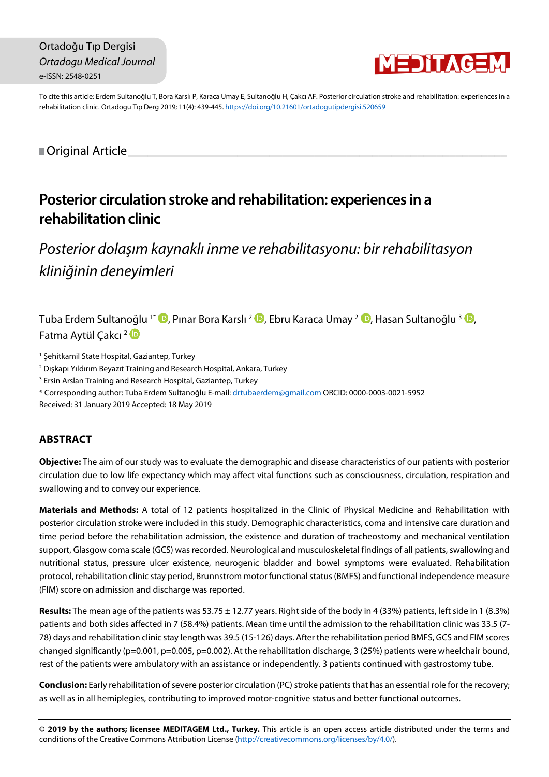

To cite this article: Erdem Sultanoğlu T, Bora Karslı P, Karaca Umay E, Sultanoğlu H, Çakcı AF. Posterior circulation stroke and rehabilitation: experiences in a rehabilitation clinic. Ortadogu Tıp Derg 2019; 11(4): [439-](#page-0-0)[445.](#page-6-0) <https://doi.org/10.21601/ortadogutipdergisi.520659>

<span id="page-0-0"></span>■ Original Article

# **Posterior circulation stroke andrehabilitation: experiences in a rehabilitation clinic**

*Posterior dolaşım kaynaklı inme ve rehabilitasyonu: bir rehabilitasyon kliniğinin deneyimleri*

Tuba Erdem Sultanoğlu <sup>1\*</sup> D[,](https://orcid.org/0000-0002-4137-7731) Pınar Bora Karslı <sup>2</sup> D, Ebru Karaca Umay <sup>2</sup> D, Hasan Sultanoğlu <sup>3</sup> D, Fatma Aytül Çakcı<sup>2</sup>

<sup>1</sup> Şehitkamil State Hospital, Gaziantep, Turkey

- <sup>2</sup> Dışkapı Yıldırım Beyazıt Training and Research Hospital, Ankara, Turkey
- <sup>3</sup> Ersin Arslan Training and Research Hospital, Gaziantep, Turkey
- \* Corresponding author: Tuba Erdem Sultanoğlu E-mail: [drtubaerdem@gmail.com](mailto:drtubaerdem@gmail.com) ORCID: 0000-0003-0021-5952

Received: 31 January 2019 Accepted: 18 May 2019

## **ABSTRACT**

**Objective:** The aim of our study was to evaluate the demographic and disease characteristics of our patients with posterior circulation due to low life expectancy which may affect vital functions such as consciousness, circulation, respiration and swallowing and to convey our experience.

**Materials and Methods:** A total of 12 patients hospitalized in the Clinic of Physical Medicine and Rehabilitation with posterior circulation stroke were included in this study. Demographic characteristics, coma and intensive care duration and time period before the rehabilitation admission, the existence and duration of tracheostomy and mechanical ventilation support, Glasgow coma scale (GCS) was recorded. Neurological and musculoskeletal findings of all patients, swallowing and nutritional status, pressure ulcer existence, neurogenic bladder and bowel symptoms were evaluated. Rehabilitation protocol, rehabilitation clinic stay period, Brunnstrom motor functionalstatus(BMFS) and functional independence measure (FIM) score on admission and discharge was reported.

**Results:** The mean age of the patients was 53.75 ± 12.77 years. Right side of the body in 4 (33%) patients, left side in 1 (8.3%) patients and both sides affected in 7 (58.4%) patients. Mean time until the admission to the rehabilitation clinic was 33.5 (7- 78) days and rehabilitation clinic stay length was 39.5 (15-126) days. After the rehabilitation period BMFS, GCS and FIM scores changed significantly (p=0.001, p=0.005, p=0.002). At the rehabilitation discharge, 3 (25%) patients were wheelchair bound, rest of the patients were ambulatory with an assistance or independently. 3 patients continued with gastrostomy tube.

**Conclusion:** Early rehabilitation of severe posterior circulation (PC) stroke patients that has an essential role for the recovery; as well as in all hemiplegies, contributing to improved motor-cognitive status and better functional outcomes.

**© 2019 by the authors; licensee MEDITAGEM Ltd., Turkey.** This article is an open access article distributed under the terms and conditions of the Creative Commons Attribution License [\(http://creativecommons.org/licenses/by/4.0/\)](http://creativecommons.org/licenses/by/4.0/).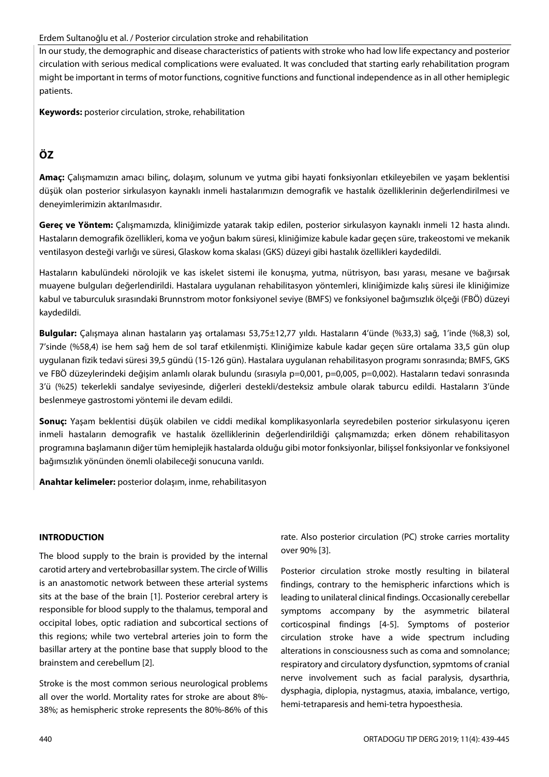## Erdem Sultanoğlu et al. / Posterior circulation stroke and rehabilitation

In our study, the demographic and disease characteristics of patients with stroke who had low life expectancy and posterior circulation with serious medical complications were evaluated. It was concluded that starting early rehabilitation program might be important in terms of motor functions, cognitive functions and functional independence asin all other hemiplegic patients.

**Keywords:** posterior circulation, stroke, rehabilitation

## **ÖZ**

**Amaç:** Çalışmamızın amacı bilinç, dolaşım, solunum ve yutma gibi hayati fonksiyonları etkileyebilen ve yaşam beklentisi düşük olan posterior sirkulasyon kaynaklı inmeli hastalarımızın demografik ve hastalık özelliklerinin değerlendirilmesi ve deneyimlerimizin aktarılmasıdır.

**Gereç ve Yöntem:** Çalışmamızda, kliniğimizde yatarak takip edilen, posterior sirkulasyon kaynaklı inmeli 12 hasta alındı. Hastaların demografik özellikleri, koma ve yoğun bakım süresi, kliniğimize kabule kadar geçen süre, trakeostomi ve mekanik ventilasyon desteği varlığı ve süresi, Glaskow koma skalası (GKS) düzeyi gibi hastalık özellikleri kaydedildi.

Hastaların kabulündeki nörolojik ve kas iskelet sistemi ile konuşma, yutma, nütrisyon, bası yarası, mesane ve bağırsak muayene bulguları değerlendirildi. Hastalara uygulanan rehabilitasyon yöntemleri, kliniğimizde kalış süresi ile kliniğimize kabul ve taburculuk sırasındaki Brunnstrom motor fonksiyonel seviye (BMFS) ve fonksiyonel bağımsızlık ölçeği (FBÖ) düzeyi kaydedildi.

**Bulgular:** Çalışmaya alınan hastaların yaş ortalaması 53,75±12,77 yıldı. Hastaların 4'ünde (%33,3) sağ, 1'inde (%8,3) sol, 7'sinde (%58,4) ise hem sağ hem de sol taraf etkilenmişti. Kliniğimize kabule kadar geçen süre ortalama 33,5 gün olup uygulanan fizik tedavi süresi 39,5 gündü (15-126 gün). Hastalara uygulanan rehabilitasyon programı sonrasında; BMFS, GKS ve FBÖ düzeylerindeki değişim anlamlı olarak bulundu (sırasıyla p=0,001, p=0,005, p=0,002). Hastaların tedavi sonrasında 3'ü (%25) tekerlekli sandalye seviyesinde, diğerleri destekli/desteksiz ambule olarak taburcu edildi. Hastaların 3'ünde beslenmeye gastrostomi yöntemi ile devam edildi.

**Sonuç:** Yaşam beklentisi düşük olabilen ve ciddi medikal komplikasyonlarla seyredebilen posterior sirkulasyonu içeren inmeli hastaların demografik ve hastalık özelliklerinin değerlendirildiği çalışmamızda; erken dönem rehabilitasyon programına başlamanın diğer tüm hemiplejik hastalarda olduğu gibi motor fonksiyonlar, bilişsel fonksiyonlar ve fonksiyonel bağımsızlık yönünden önemli olabileceği sonucuna varıldı.

**Anahtar kelimeler:** posterior dolaşım, inme, rehabilitasyon

## **INTRODUCTION**

The blood supply to the brain is provided by the internal carotid artery and vertebrobasillar system. The circle of Willis is an anastomotic network between these arterial systems sits at the base of the brain [1]. Posterior cerebral artery is responsible for blood supply to the thalamus, temporal and occipital lobes, optic radiation and subcortical sections of this regions; while two vertebral arteries join to form the basillar artery at the pontine base that supply blood to the brainstem and cerebellum [2].

Stroke is the most common serious neurological problems all over the world. Mortality rates for stroke are about 8%- 38%; as hemispheric stroke represents the 80%-86% of this

rate. Also posterior circulation (PC) stroke carries mortality over 90% [3].

Posterior circulation stroke mostly resulting in bilateral findings, contrary to the hemispheric infarctions which is leading to unilateral clinical findings. Occasionally cerebellar symptoms accompany by the asymmetric bilateral corticospinal findings [4-5]. Symptoms of posterior circulation stroke have a wide spectrum including alterations in consciousness such as coma and somnolance; respiratory and circulatory dysfunction, sypmtoms of cranial nerve involvement such as facial paralysis, dysarthria, dysphagia, diplopia, nystagmus, ataxia, imbalance, vertigo, hemi-tetraparesis and hemi-tetra hypoesthesia.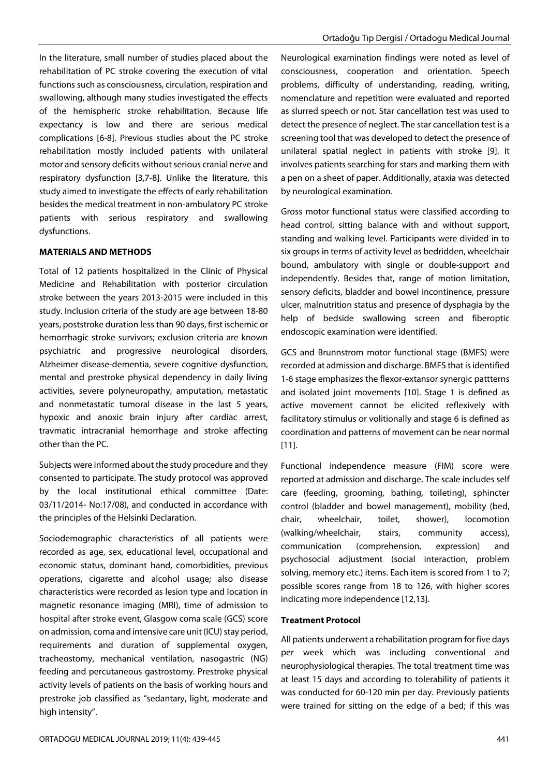In the literature, small number of studies placed about the rehabilitation of PC stroke covering the execution of vital functions such as consciousness, circulation, respiration and swallowing, although many studies investigated the effects of the hemispheric stroke rehabilitation. Because life expectancy is low and there are serious medical complications [6-8]. Previous studies about the PC stroke rehabilitation mostly included patients with unilateral motor and sensory deficits without serious cranial nerve and respiratory dysfunction [3,7-8]. Unlike the literature, this study aimed to investigate the effects of early rehabilitation besides the medical treatment in non-ambulatory PC stroke patients with serious respiratory and swallowing dysfunctions.

### **MATERIALS AND METHODS**

Total of 12 patients hospitalized in the Clinic of Physical Medicine and Rehabilitation with posterior circulation stroke between the years 2013-2015 were included in this study. Inclusion criteria of the study are age between 18-80 years, poststroke duration lessthan 90 days, first ischemic or hemorrhagic stroke survivors; exclusion criteria are known psychiatric and progressive neurological disorders, Alzheimer disease-dementia, severe cognitive dysfunction, mental and prestroke physical dependency in daily living activities, severe polyneuropathy, amputation, metastatic and nonmetastatic tumoral disease in the last 5 years, hypoxic and anoxic brain injury after cardiac arrest, travmatic intracranial hemorrhage and stroke affecting other than the PC.

Subjects were informed about the study procedure and they consented to participate. The study protocol was approved by the local institutional ethical committee (Date: 03/11/2014- No:17/08), and conducted in accordance with the principles of the Helsinki Declaration.

Sociodemographic characteristics of all patients were recorded as age, sex, educational level, occupational and economic status, dominant hand, comorbidities, previous operations, cigarette and alcohol usage; also disease characteristics were recorded as lesion type and location in magnetic resonance imaging (MRI), time of admission to hospital after stroke event, Glasgow coma scale (GCS) score on admission, coma and intensive care unit (ICU) stay period, requirements and duration of supplemental oxygen, tracheostomy, mechanical ventilation, nasogastric (NG) feeding and percutaneous gastrostomy. Prestroke physical activity levels of patients on the basis of working hours and prestroke job classified as "sedantary, light, moderate and high intensity".

Neurological examination findings were noted as level of consciousness, cooperation and orientation. Speech problems, difficulty of understanding, reading, writing, nomenclature and repetition were evaluated and reported as slurred speech or not. Star cancellation test was used to detect the presence of neglect. The star cancellation test is a screening tool that was developed to detect the presence of unilateral spatial neglect in patients with stroke [9]. It involves patients searching for stars and marking them with a pen on a sheet of paper. Additionally, ataxia was detected by neurological examination.

Gross motor functional status were classified according to head control, sitting balance with and without support, standing and walking level. Participants were divided in to six groups in terms of activity level as bedridden, wheelchair bound, ambulatory with single or double-support and independently. Besides that, range of motion limitation, sensory deficits, bladder and bowel incontinence, pressure ulcer, malnutrition status and presence of dysphagia by the help of bedside swallowing screen and fiberoptic endoscopic examination were identified.

GCS and Brunnstrom motor functional stage (BMFS) were recorded at admission and discharge. BMFS that is identified 1-6 stage emphasizes the flexor-extansor synergic pattterns and isolated joint movements [10]. Stage 1 is defined as active movement cannot be elicited reflexively with facilitatory stimulus or volitionally and stage 6 is defined as coordination and patterns of movement can be near normal [11].

Functional independence measure (FIM) score were reported at admission and discharge. The scale includes self care (feeding, grooming, bathing, toileting), sphincter control (bladder and bowel management), mobility (bed, chair, wheelchair, toilet, shower), locomotion (walking/wheelchair, stairs, community access), communication (comprehension, expression) and psychosocial adjustment (social interaction, problem solving, memory etc.) items. Each item is scored from 1 to 7; possible scores range from 18 to 126, with higher scores indicating more independence [12,13].

## **Treatment Protocol**

All patients underwent a rehabilitation program for five days per week which was including conventional and neurophysiological therapies. The total treatment time was at least 15 days and according to tolerability of patients it was conducted for 60-120 min per day. Previously patients were trained for sitting on the edge of a bed; if this was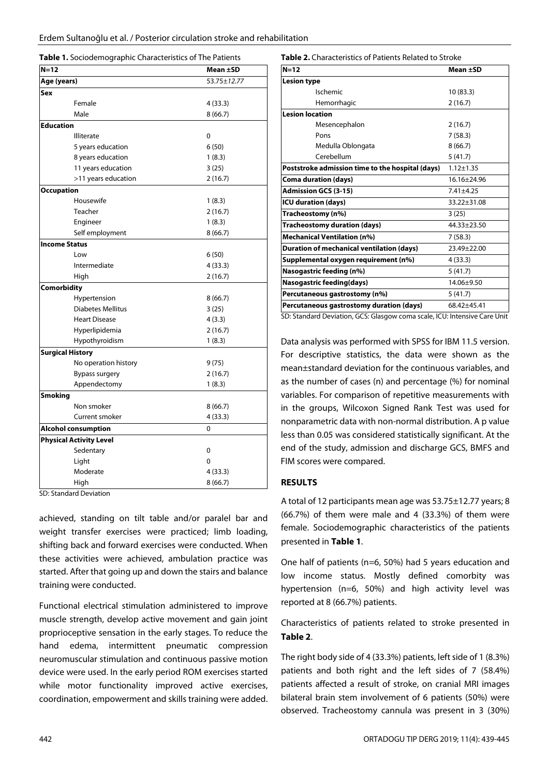**Table 1.** Sociodemographic Characteristics of The Patients

| $N=12$                         | Mean ±SD    |
|--------------------------------|-------------|
| Age (years)                    | 53.75±12.77 |
| Sex                            |             |
| Female                         | 4 (33.3)    |
| Male                           | 8(66.7)     |
| <b>Education</b>               |             |
| <b>Illiterate</b>              | 0           |
| 5 years education              | 6(50)       |
| 8 years education              | 1(8.3)      |
| 11 years education             | 3(25)       |
| >11 years education            | 2(16.7)     |
| <b>Occupation</b>              |             |
| Housewife                      | 1(8.3)      |
| <b>Teacher</b>                 | 2(16.7)     |
| Engineer                       | 1(8.3)      |
| Self employment                | 8(66.7)     |
| <b>Income Status</b>           |             |
| Low                            | 6(50)       |
| Intermediate                   | 4 (33.3)    |
| High                           | 2(16.7)     |
| Comorbidity                    |             |
| Hypertension                   | 8(66.7)     |
| <b>Diabetes Mellitus</b>       | 3(25)       |
| <b>Heart Disease</b>           | 4(3.3)      |
| Hyperlipidemia                 | 2(16.7)     |
| Hypothyroidism                 | 1(8.3)      |
| <b>Surgical History</b>        |             |
| No operation history           | 9 (75)      |
| Bypass surgery                 | 2(16.7)     |
| Appendectomy                   | 1(8.3)      |
| <b>Smoking</b>                 |             |
| Non smoker                     | 8(66.7)     |
| Current smoker                 | 4(33.3)     |
| <b>Alcohol consumption</b>     | 0           |
| <b>Physical Activity Level</b> |             |
| Sedentary                      | 0           |
| Light                          | 0           |
| Moderate                       | 4(33.3)     |
| High                           | 8(66.7)     |

SD: Standard Deviation

achieved, standing on tilt table and/or paralel bar and weight transfer exercises were practiced; limb loading, shifting back and forward exercises were conducted. When these activities were achieved, ambulation practice was started. After that going up and down the stairs and balance training were conducted.

Functional electrical stimulation administered to improve muscle strength, develop active movement and gain joint proprioceptive sensation in the early stages. To reduce the hand edema, intermittent pneumatic compression neuromuscular stimulation and continuous passive motion device were used. In the early period ROM exercises started while motor functionality improved active exercises, coordination, empowerment and skills training were added.

#### **Table 2.** Characteristics of Patients Related to Stroke

| $N=12$                                                                  | Mean ±SD        |
|-------------------------------------------------------------------------|-----------------|
| <b>Lesion type</b>                                                      |                 |
| Ischemic                                                                | 10(83.3)        |
| Hemorrhagic                                                             | 2(16.7)         |
| <b>Lesion location</b>                                                  |                 |
| Mesencephalon                                                           | 2(16.7)         |
| Pons                                                                    | 7(58.3)         |
| Medulla Oblongata                                                       | 8(66.7)         |
| Cerebellum                                                              | 5(41.7)         |
| Poststroke admission time to the hospital (days)                        | $1.12 \pm 1.35$ |
| <b>Coma duration (days)</b>                                             | 16.16±24.96     |
| <b>Admission GCS (3-15)</b>                                             | $7.41 + 4.25$   |
| <b>ICU duration (days)</b>                                              | 33.22±31.08     |
| Tracheostomy (n%)                                                       | 3(25)           |
| <b>Tracheostomy duration (days)</b>                                     | 44.33±23.50     |
| <b>Mechanical Ventilation (n%)</b>                                      | 7(58.3)         |
| <b>Duration of mechanical ventilation (days)</b>                        | 23.49±22.00     |
| Supplemental oxygen requirement (n%)                                    | 4(33.3)         |
| Nasogastric feeding (n%)                                                | 5(41.7)         |
| <b>Nasogastric feeding(days)</b>                                        | 14.06±9.50      |
| Percutaneous gastrostomy (n%)                                           | 5(41.7)         |
| Percutaneous gastrostomy duration (days)                                | 68.42+45.41     |
| CD: Ctandard Doviation CCC: Classow same scale ICL: Intensive Carollait |                 |

Standard Deviation, GCS: Glasgow coma scale, ICU: Intensive Care Unit

Data analysis was performed with SPSS for IBM 11.5 version. For descriptive statistics, the data were shown as the mean±standard deviation for the continuous variables, and as the number of cases (n) and percentage (%) for nominal variables. For comparison of repetitive measurements with in the groups, Wilcoxon Signed Rank Test was used for nonparametric data with non-normal distribution. A p value less than 0.05 was considered statistically significant. At the end of the study, admission and discharge GCS, BMFS and FIM scores were compared.

## **RESULTS**

A total of 12 participants mean age was 53.75±12.77 years; 8 (66.7%) of them were male and 4 (33.3%) of them were female. Sociodemographic characteristics of the patients presented in **Table 1**.

One half of patients (n=6, 50%) had 5 years education and low income status. Mostly defined comorbity was hypertension (n=6, 50%) and high activity level was reported at 8 (66.7%) patients.

Characteristics of patients related to stroke presented in **Table 2**.

The right body side of 4 (33.3%) patients, left side of 1 (8.3%) patients and both right and the left sides of 7 (58.4%) patients affected a result of stroke, on cranial MRI images bilateral brain stem involvement of 6 patients (50%) were observed. Tracheostomy cannula was present in 3 (30%)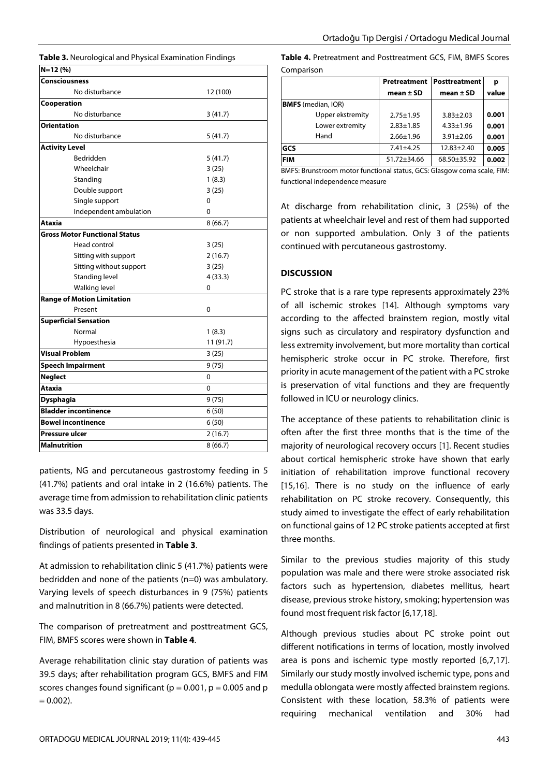**Table 3.** Neurological and Physical Examination Findings

| $N=12(%)$                            |           |
|--------------------------------------|-----------|
| <b>Consciousness</b>                 |           |
| No disturbance                       | 12 (100)  |
| Cooperation                          |           |
| No disturbance                       | 3(41.7)   |
| <b>Orientation</b>                   |           |
| No disturbance                       | 5(41.7)   |
| <b>Activity Level</b>                |           |
| Bedridden                            | 5(41.7)   |
| Wheelchair                           | 3(25)     |
| Standing                             | 1(8.3)    |
| Double support                       | 3(25)     |
| Single support                       | 0         |
| Independent ambulation               | 0         |
| <b>Ataxia</b>                        | 8(66.7)   |
| <b>Gross Motor Functional Status</b> |           |
| Head control                         | 3(25)     |
| Sitting with support                 | 2(16.7)   |
| Sitting without support              | 3(25)     |
| Standing level                       | 4(33.3)   |
| Walking level                        | 0         |
| <b>Range of Motion Limitation</b>    |           |
| Present                              | 0         |
| <b>Superficial Sensation</b>         |           |
| Normal                               | 1(8.3)    |
| Hypoesthesia                         | 11 (91.7) |
| <b>Visual Problem</b>                | 3(25)     |
| <b>Speech Impairment</b>             | 9(75)     |
| <b>Neglect</b>                       | 0         |
| Ataxia                               | 0         |
| <b>Dysphagia</b>                     | 9(75)     |
| <b>Bladder incontinence</b>          | 6(50)     |
| <b>Bowel incontinence</b>            | 6(50)     |
| Pressure ulcer                       | 2(16.7)   |
| Malnutrition                         | 8(66.7)   |

patients, NG and percutaneous gastrostomy feeding in 5 (41.7%) patients and oral intake in 2 (16.6%) patients. The average time from admission to rehabilitation clinic patients was 33.5 days.

Distribution of neurological and physical examination findings of patients presented in **Table 3**.

At admission to rehabilitation clinic 5 (41.7%) patients were bedridden and none of the patients (n=0) was ambulatory. Varying levels of speech disturbances in 9 (75%) patients and malnutrition in 8 (66.7%) patients were detected.

The comparison of pretreatment and posttreatment GCS, FIM, BMFS scores were shown in **Table 4**.

Average rehabilitation clinic stay duration of patients was 39.5 days; after rehabilitation program GCS, BMFS and FIM scores changes found significant ( $p = 0.001$ ,  $p = 0.005$  and  $p$  $= 0.002$ ).

**Table 4.** Pretreatment and Posttreatment GCS, FIM, BMFS Scores Comparison

|            |                           | Pretreatment<br>mean $\pm$ SD | <b>Posttreatment</b><br>mean $\pm$ SD | р<br>value |
|------------|---------------------------|-------------------------------|---------------------------------------|------------|
|            | <b>BMFS</b> (median, IQR) |                               |                                       |            |
|            | Upper ekstremity          | $2.75 + 1.95$                 | $3.83 + 2.03$                         | 0.001      |
|            | Lower extremity           | $2.83 + 1.85$                 | $4.33 \pm 1.96$                       | 0.001      |
|            | Hand                      | $2.66 + 1.96$                 | $3.91 \pm 2.06$                       | 0.001      |
| GCS        |                           | $7.41 + 4.25$                 | $12.83 + 2.40$                        | 0.005      |
| <b>FIM</b> |                           | $51.72 + 34.66$               | $68.50 + 35.92$                       | 0.002      |

BMFS: Brunstroom motor functional status, GCS: Glasgow coma scale, FIM: functional independence measure

At discharge from rehabilitation clinic, 3 (25%) of the patients at wheelchair level and rest of them had supported or non supported ambulation. Only 3 of the patients continued with percutaneous gastrostomy.

## **DISCUSSION**

PC stroke that is a rare type represents approximately 23% of all ischemic strokes [14]. Although symptoms vary according to the affected brainstem region, mostly vital signs such as circulatory and respiratory dysfunction and less extremity involvement, but more mortality than cortical hemispheric stroke occur in PC stroke. Therefore, first priority in acute management of the patient with a PC stroke is preservation of vital functions and they are frequently followed in ICU or neurology clinics.

The acceptance of these patients to rehabilitation clinic is often after the first three months that is the time of the majority of neurological recovery occurs [1]. Recent studies about cortical hemispheric stroke have shown that early initiation of rehabilitation improve functional recovery [15,16]. There is no study on the influence of early rehabilitation on PC stroke recovery. Consequently, this study aimed to investigate the effect of early rehabilitation on functional gains of 12 PC stroke patients accepted at first three months.

Similar to the previous studies majority of this study population was male and there were stroke associated risk factors such as hypertension, diabetes mellitus, heart disease, previous stroke history, smoking; hypertension was found most frequent risk factor [6,17,18].

Although previous studies about PC stroke point out different notifications in terms of location, mostly involved area is pons and ischemic type mostly reported [6,7,17]. Similarly our study mostly involved ischemic type, pons and medulla oblongata were mostly affected brainstem regions. Consistent with these location, 58.3% of patients were requiring mechanical ventilation and 30% had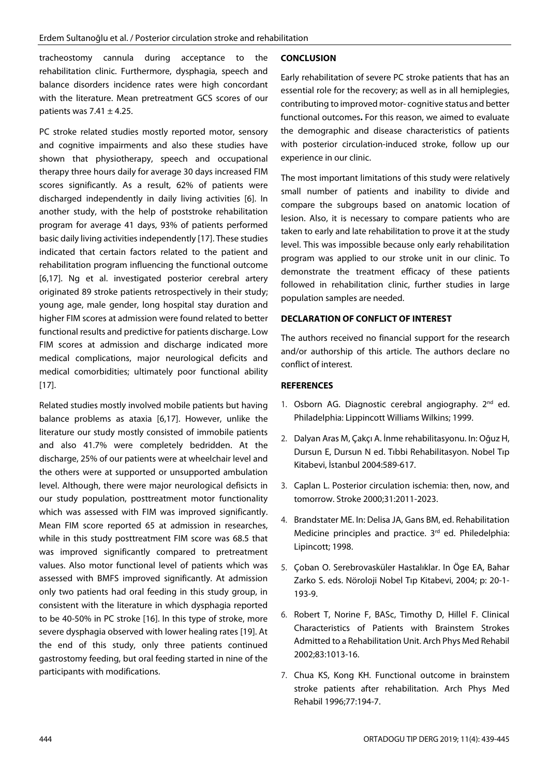tracheostomy cannula during acceptance to the rehabilitation clinic. Furthermore, dysphagia, speech and balance disorders incidence rates were high concordant with the literature. Mean pretreatment GCS scores of our patients was  $7.41 \pm 4.25$ .

PC stroke related studies mostly reported motor, sensory and cognitive impairments and also these studies have shown that physiotherapy, speech and occupational therapy three hours daily for average 30 days increased FIM scores significantly. As a result, 62% of patients were discharged independently in daily living activities [6]. In another study, with the help of poststroke rehabilitation program for average 41 days, 93% of patients performed basic daily living activities independently [17]. These studies indicated that certain factors related to the patient and rehabilitation program influencing the functional outcome [6,17]. Ng et al. investigated posterior cerebral artery originated 89 stroke patients retrospectively in their study; young age, male gender, long hospital stay duration and higher FIM scores at admission were found related to better functional results and predictive for patients discharge. Low FIM scores at admission and discharge indicated more medical complications, major neurological deficits and medical comorbidities; ultimately poor functional ability [17].

Related studies mostly involved mobile patients but having balance problems as ataxia [6,17]. However, unlike the literature our study mostly consisted of immobile patients and also 41.7% were completely bedridden. At the discharge, 25% of our patients were at wheelchair level and the others were at supported or unsupported ambulation level. Although, there were major neurological defisicts in our study population, posttreatment motor functionality which was assessed with FIM was improved significantly. Mean FIM score reported 65 at admission in researches, while in this study posttreatment FIM score was 68.5 that was improved significantly compared to pretreatment values. Also motor functional level of patients which was assessed with BMFS improved significantly. At admission only two patients had oral feeding in this study group, in consistent with the literature in which dysphagia reported to be 40-50% in PC stroke [16]. In this type of stroke, more severe dysphagia observed with lower healing rates [19]. At the end of this study, only three patients continued gastrostomy feeding, but oral feeding started in nine of the participants with modifications.

## **CONCLUSION**

Early rehabilitation of severe PC stroke patients that has an essential role for the recovery; as well as in all hemiplegies, contributing to improved motor- cognitive status and better functional outcomes**.** For this reason, we aimed to evaluate the demographic and disease characteristics of patients with posterior circulation-induced stroke, follow up our experience in our clinic.

The most important limitations of this study were relatively small number of patients and inability to divide and compare the subgroups based on anatomic location of lesion. Also, it is necessary to compare patients who are taken to early and late rehabilitation to prove it at the study level. This was impossible because only early rehabilitation program was applied to our stroke unit in our clinic. To demonstrate the treatment efficacy of these patients followed in rehabilitation clinic, further studies in large population samples are needed.

## **DECLARATION OF CONFLICT OF INTEREST**

The authors received no financial support for the research and/or authorship of this article. The authors declare no conflict of interest.

## **REFERENCES**

- 1. Osborn AG. Diagnostic cerebral angiography. 2<sup>nd</sup> ed. Philadelphia: Lippincott Williams Wilkins; 1999.
- 2. Dalyan Aras M, Çakçı A. İnme rehabilitasyonu. In: Oğuz H, Dursun E, Dursun N ed. Tıbbi Rehabilitasyon. Nobel Tıp Kitabevi, İstanbul 2004:589-617.
- 3. Caplan L. Posterior circulation ischemia: then, now, and tomorrow. Stroke 2000;31:2011-2023.
- 4. Brandstater ME. In: Delisa JA, Gans BM, ed. Rehabilitation Medicine principles and practice. 3<sup>rd</sup> ed. Philedelphia: Lipincott; 1998.
- 5. Çoban O. Serebrovasküler Hastalıklar. In Öge EA, Bahar Zarko S. eds. Nöroloji Nobel Tıp Kitabevi, 2004; p: 20-1- 193-9.
- 6. Robert T, Norine F, BASc, Timothy D, Hillel F. Clinical Characteristics of Patients with Brainstem Strokes Admitted to a Rehabilitation Unit. Arch Phys Med Rehabil 2002;83:1013-16.
- 7. Chua KS, Kong KH. Functional outcome in brainstem stroke patients after rehabilitation. Arch Phys Med Rehabil 1996;77:194-7.